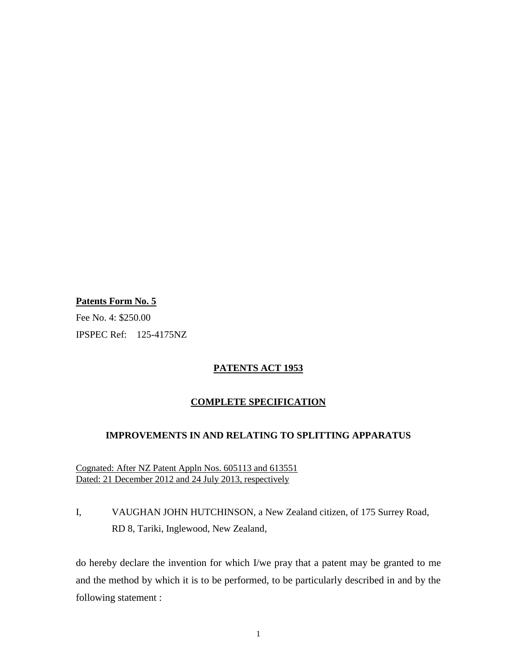## **Patents Form No. 5**

Fee No. 4: \$250.00 IPSPEC Ref: 125-4175NZ

## **PATENTS ACT 1953**

## **COMPLETE SPECIFICATION**

## **IMPROVEMENTS IN AND RELATING TO SPLITTING APPARATUS**

Cognated: After NZ Patent Appln Nos. 605113 and 613551 Dated: 21 December 2012 and 24 July 2013, respectively

I, VAUGHAN JOHN HUTCHINSON, a New Zealand citizen, of 175 Surrey Road, RD 8, Tariki, Inglewood, New Zealand,

do hereby declare the invention for which I/we pray that a patent may be granted to me and the method by which it is to be performed, to be particularly described in and by the following statement :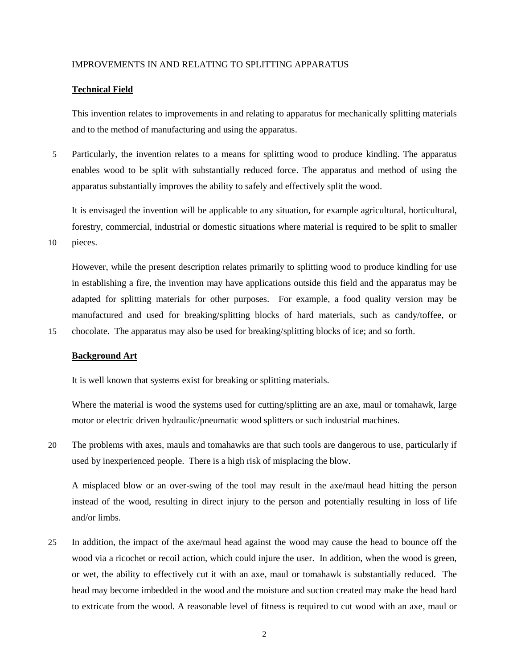### IMPROVEMENTS IN AND RELATING TO SPLITTING APPARATUS

#### **Technical Field**

This invention relates to improvements in and relating to apparatus for mechanically splitting materials and to the method of manufacturing and using the apparatus.

5 Particularly, the invention relates to a means for splitting wood to produce kindling. The apparatus enables wood to be split with substantially reduced force. The apparatus and method of using the apparatus substantially improves the ability to safely and effectively split the wood.

It is envisaged the invention will be applicable to any situation, for example agricultural, horticultural, forestry, commercial, industrial or domestic situations where material is required to be split to smaller 10 pieces.

However, while the present description relates primarily to splitting wood to produce kindling for use in establishing a fire, the invention may have applications outside this field and the apparatus may be adapted for splitting materials for other purposes. For example, a food quality version may be manufactured and used for breaking/splitting blocks of hard materials, such as candy/toffee, or

15 chocolate. The apparatus may also be used for breaking/splitting blocks of ice; and so forth.

#### **Background Art**

It is well known that systems exist for breaking or splitting materials.

Where the material is wood the systems used for cutting/splitting are an axe, maul or tomahawk, large motor or electric driven hydraulic/pneumatic wood splitters or such industrial machines.

20 The problems with axes, mauls and tomahawks are that such tools are dangerous to use, particularly if used by inexperienced people. There is a high risk of misplacing the blow.

A misplaced blow or an over-swing of the tool may result in the axe/maul head hitting the person instead of the wood, resulting in direct injury to the person and potentially resulting in loss of life and/or limbs.

25 In addition, the impact of the axe/maul head against the wood may cause the head to bounce off the wood via a ricochet or recoil action, which could injure the user. In addition, when the wood is green, or wet, the ability to effectively cut it with an axe, maul or tomahawk is substantially reduced. The head may become imbedded in the wood and the moisture and suction created may make the head hard to extricate from the wood. A reasonable level of fitness is required to cut wood with an axe, maul or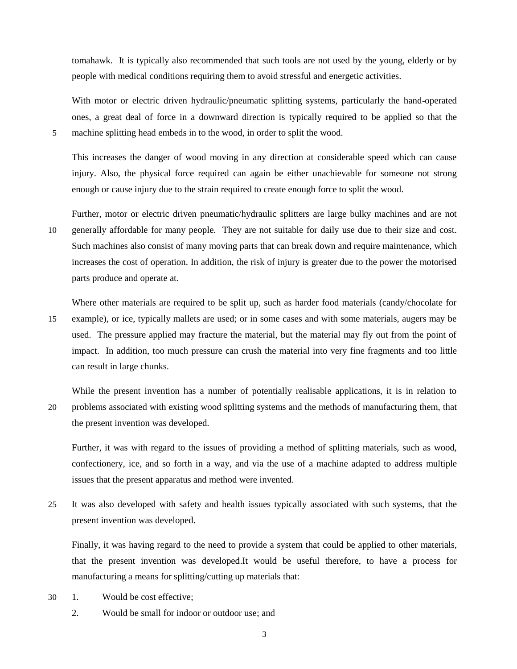tomahawk. It is typically also recommended that such tools are not used by the young, elderly or by people with medical conditions requiring them to avoid stressful and energetic activities.

With motor or electric driven hydraulic/pneumatic splitting systems, particularly the hand-operated ones, a great deal of force in a downward direction is typically required to be applied so that the 5 machine splitting head embeds in to the wood, in order to split the wood.

This increases the danger of wood moving in any direction at considerable speed which can cause injury. Also, the physical force required can again be either unachievable for someone not strong enough or cause injury due to the strain required to create enough force to split the wood.

Further, motor or electric driven pneumatic/hydraulic splitters are large bulky machines and are not 10 generally affordable for many people. They are not suitable for daily use due to their size and cost. Such machines also consist of many moving parts that can break down and require maintenance, which increases the cost of operation. In addition, the risk of injury is greater due to the power the motorised parts produce and operate at.

Where other materials are required to be split up, such as harder food materials (candy/chocolate for 15 example), or ice, typically mallets are used; or in some cases and with some materials, augers may be used. The pressure applied may fracture the material, but the material may fly out from the point of impact. In addition, too much pressure can crush the material into very fine fragments and too little can result in large chunks.

While the present invention has a number of potentially realisable applications, it is in relation to 20 problems associated with existing wood splitting systems and the methods of manufacturing them, that the present invention was developed.

Further, it was with regard to the issues of providing a method of splitting materials, such as wood, confectionery, ice, and so forth in a way, and via the use of a machine adapted to address multiple issues that the present apparatus and method were invented.

25 It was also developed with safety and health issues typically associated with such systems, that the present invention was developed.

Finally, it was having regard to the need to provide a system that could be applied to other materials, that the present invention was developed.It would be useful therefore, to have a process for manufacturing a means for splitting/cutting up materials that:

- 30 1. Would be cost effective;
	- 2. Would be small for indoor or outdoor use; and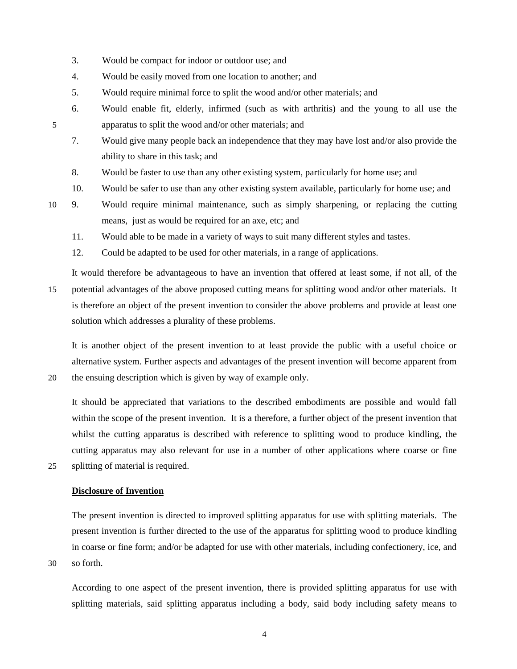- 3. Would be compact for indoor or outdoor use; and
- 4. Would be easily moved from one location to another; and
- 5. Would require minimal force to split the wood and/or other materials; and
- 6. Would enable fit, elderly, infirmed (such as with arthritis) and the young to all use the
- 5 apparatus to split the wood and/or other materials; and
	- 7. Would give many people back an independence that they may have lost and/or also provide the ability to share in this task; and
	- 8. Would be faster to use than any other existing system, particularly for home use; and
	- 10. Would be safer to use than any other existing system available, particularly for home use; and

10 9. Would require minimal maintenance, such as simply sharpening, or replacing the cutting means, just as would be required for an axe, etc; and

- 11. Would able to be made in a variety of ways to suit many different styles and tastes.
- 12. Could be adapted to be used for other materials, in a range of applications.

It would therefore be advantageous to have an invention that offered at least some, if not all, of the 15 potential advantages of the above proposed cutting means for splitting wood and/or other materials. It is therefore an object of the present invention to consider the above problems and provide at least one solution which addresses a plurality of these problems.

It is another object of the present invention to at least provide the public with a useful choice or alternative system. Further aspects and advantages of the present invention will become apparent from 20 the ensuing description which is given by way of example only.

It should be appreciated that variations to the described embodiments are possible and would fall within the scope of the present invention. It is a therefore, a further object of the present invention that whilst the cutting apparatus is described with reference to splitting wood to produce kindling, the cutting apparatus may also relevant for use in a number of other applications where coarse or fine

25 splitting of material is required.

### **Disclosure of Invention**

The present invention is directed to improved splitting apparatus for use with splitting materials. The present invention is further directed to the use of the apparatus for splitting wood to produce kindling in coarse or fine form; and/or be adapted for use with other materials, including confectionery, ice, and 30 so forth.

According to one aspect of the present invention, there is provided splitting apparatus for use with splitting materials, said splitting apparatus including a body, said body including safety means to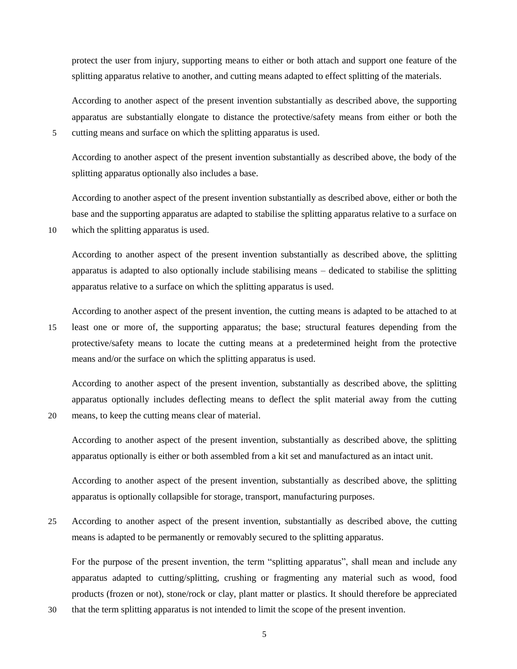protect the user from injury, supporting means to either or both attach and support one feature of the splitting apparatus relative to another, and cutting means adapted to effect splitting of the materials.

According to another aspect of the present invention substantially as described above, the supporting apparatus are substantially elongate to distance the protective/safety means from either or both the

5 cutting means and surface on which the splitting apparatus is used.

According to another aspect of the present invention substantially as described above, the body of the splitting apparatus optionally also includes a base.

According to another aspect of the present invention substantially as described above, either or both the base and the supporting apparatus are adapted to stabilise the splitting apparatus relative to a surface on 10 which the splitting apparatus is used.

According to another aspect of the present invention substantially as described above, the splitting apparatus is adapted to also optionally include stabilising means – dedicated to stabilise the splitting apparatus relative to a surface on which the splitting apparatus is used.

According to another aspect of the present invention, the cutting means is adapted to be attached to at 15 least one or more of, the supporting apparatus; the base; structural features depending from the protective/safety means to locate the cutting means at a predetermined height from the protective means and/or the surface on which the splitting apparatus is used.

According to another aspect of the present invention, substantially as described above, the splitting apparatus optionally includes deflecting means to deflect the split material away from the cutting 20 means, to keep the cutting means clear of material.

According to another aspect of the present invention, substantially as described above, the splitting apparatus optionally is either or both assembled from a kit set and manufactured as an intact unit.

According to another aspect of the present invention, substantially as described above, the splitting apparatus is optionally collapsible for storage, transport, manufacturing purposes.

25 According to another aspect of the present invention, substantially as described above, the cutting means is adapted to be permanently or removably secured to the splitting apparatus.

For the purpose of the present invention, the term "splitting apparatus", shall mean and include any apparatus adapted to cutting/splitting, crushing or fragmenting any material such as wood, food products (frozen or not), stone/rock or clay, plant matter or plastics. It should therefore be appreciated

30 that the term splitting apparatus is not intended to limit the scope of the present invention.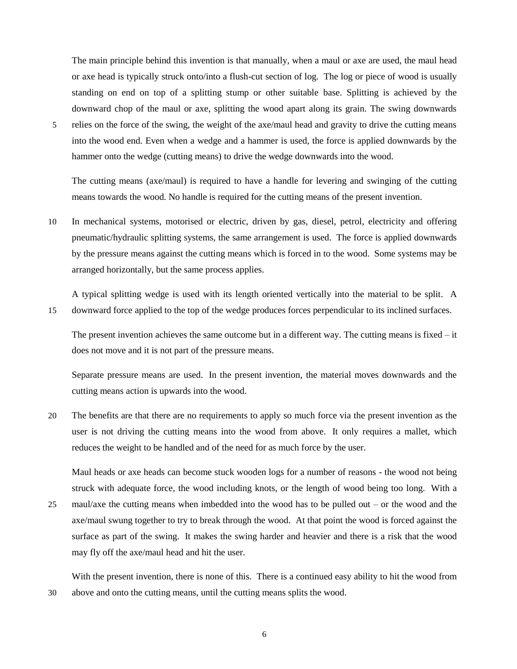The main principle behind this invention is that manually, when a maul or axe are used, the maul head or axe head is typically struck onto/into a flush-cut section of log. The log or piece of wood is usually standing on end on top of a splitting stump or other suitable base. Splitting is achieved by the downward chop of the maul or axe, splitting the wood apart along its grain. The swing downwards 5 relies on the force of the swing, the weight of the axe/maul head and gravity to drive the cutting means

into the wood end. Even when a wedge and a hammer is used, the force is applied downwards by the hammer onto the wedge (cutting means) to drive the wedge downwards into the wood.

The cutting means (axe/maul) is required to have a handle for levering and swinging of the cutting means towards the wood. No handle is required for the cutting means of the present invention.

10 In mechanical systems, motorised or electric, driven by gas, diesel, petrol, electricity and offering pneumatic/hydraulic splitting systems, the same arrangement is used. The force is applied downwards by the pressure means against the cutting means which is forced in to the wood. Some systems may be arranged horizontally, but the same process applies.

A typical splitting wedge is used with its length oriented vertically into the material to be split. A 15 downward force applied to the top of the wedge produces forces perpendicular to its inclined surfaces.

The present invention achieves the same outcome but in a different way. The cutting means is fixed – it does not move and it is not part of the pressure means.

Separate pressure means are used. In the present invention, the material moves downwards and the cutting means action is upwards into the wood.

20 The benefits are that there are no requirements to apply so much force via the present invention as the user is not driving the cutting means into the wood from above. It only requires a mallet, which reduces the weight to be handled and of the need for as much force by the user.

Maul heads or axe heads can become stuck wooden logs for a number of reasons - the wood not being struck with adequate force, the wood including knots, or the length of wood being too long. With a 25 maul/axe the cutting means when imbedded into the wood has to be pulled out – or the wood and the axe/maul swung together to try to break through the wood. At that point the wood is forced against the surface as part of the swing. It makes the swing harder and heavier and there is a risk that the wood

With the present invention, there is none of this. There is a continued easy ability to hit the wood from 30 above and onto the cutting means, until the cutting means splits the wood.

may fly off the axe/maul head and hit the user.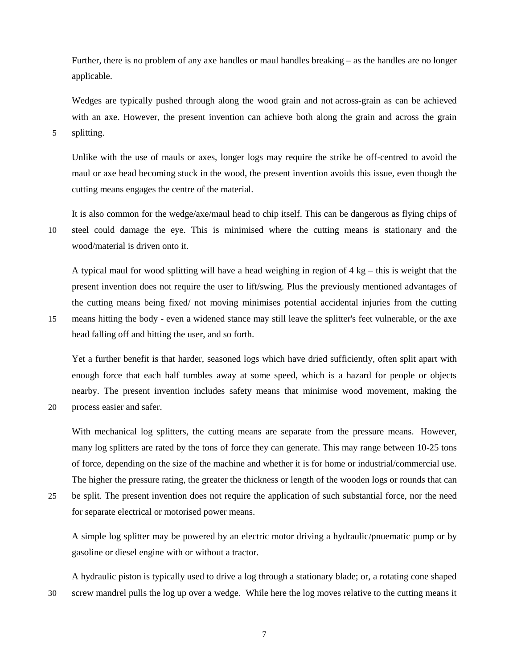Further, there is no problem of any axe handles or maul handles breaking – as the handles are no longer applicable.

Wedges are typically pushed through along the [wood grain](http://en.wikipedia.org/wiki/Wood_grain) and not across-grain as can be achieved with an axe. However, the present invention can achieve both along the grain and across the grain 5 splitting.

Unlike with the use of mauls or axes, longer logs may require the strike be off-centred to avoid the maul or axe head becoming stuck in the wood, the present invention avoids this issue, even though the cutting means engages the centre of the material.

It is also common for the wedge/axe/maul head to chip itself. This can be dangerous as flying chips of 10 steel could damage the eye. This is minimised where the cutting means is stationary and the wood/material is driven onto it.

A typical maul for wood splitting will have a head weighing in region of 4 kg – this is weight that the present invention does not require the user to lift/swing. Plus the previously mentioned advantages of the cutting means being fixed/ not moving minimises potential accidental injuries from the cutting 15 means hitting the body - even a widened stance may still leave the splitter's feet vulnerable, or the axe head falling off and hitting the user, and so forth.

Yet a further benefit is that harder, seasoned logs which have dried sufficiently, often split apart with enough force that each half tumbles away at some speed, which is a hazard for people or objects nearby. The present invention includes safety means that minimise wood movement, making the 20 process easier and safer.

With mechanical log splitters, the cutting means are separate from the pressure means. However, many log splitters are rated by the tons of [force](http://en.wikipedia.org/wiki/Force) they can generate. This may range between 10-25 tons of force, depending on the size of the machine and whether it is for home or industrial/commercial use. The higher the pressure rating, the greater the thickness or length of the wooden logs or rounds that can

25 be split. The present invention does not require the application of such substantial force, nor the need for separate electrical or motorised power means.

A simple log splitter may be powered by an electric motor driving a hydraulic/pnuematic pump or by [gasoline](http://en.wikipedia.org/wiki/Gasoline_engine) or [diesel engine](http://en.wikipedia.org/wiki/Diesel_engine) with or without a tractor.

A hydraulic piston is typically used to drive a log through a stationary blade; or, a rotating cone shaped 30 screw mandrel pulls the log up over a wedge. While here the log moves relative to the cutting means it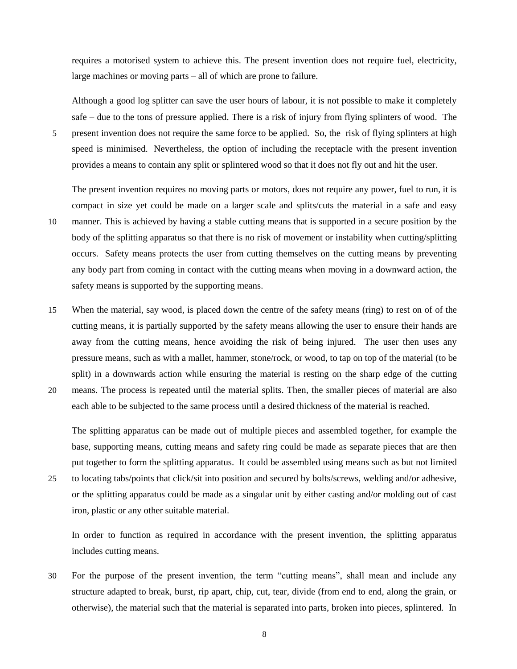requires a motorised system to achieve this. The present invention does not require fuel, electricity, large machines or moving parts – all of which are prone to failure.

Although a good log splitter can save the user hours of labour, it is not possible to make it completely safe – due to the tons of pressure applied. There is a risk of injury from flying splinters of wood. The

5 present invention does not require the same force to be applied. So, the risk of flying splinters at high speed is minimised. Nevertheless, the option of including the receptacle with the present invention provides a means to contain any split or splintered wood so that it does not fly out and hit the user.

The present invention requires no moving parts or motors, does not require any power, fuel to run, it is compact in size yet could be made on a larger scale and splits/cuts the material in a safe and easy 10 manner. This is achieved by having a stable cutting means that is supported in a secure position by the body of the splitting apparatus so that there is no risk of movement or instability when cutting/splitting occurs. Safety means protects the user from cutting themselves on the cutting means by preventing any body part from coming in contact with the cutting means when moving in a downward action, the safety means is supported by the supporting means.

15 When the material, say wood, is placed down the centre of the safety means (ring) to rest on of of the cutting means, it is partially supported by the safety means allowing the user to ensure their hands are away from the cutting means, hence avoiding the risk of being injured. The user then uses any pressure means, such as with a mallet, hammer, stone/rock, or wood, to tap on top of the material (to be split) in a downwards action while ensuring the material is resting on the sharp edge of the cutting

20 means. The process is repeated until the material splits. Then, the smaller pieces of material are also each able to be subjected to the same process until a desired thickness of the material is reached.

The splitting apparatus can be made out of multiple pieces and assembled together, for example the base, supporting means, cutting means and safety ring could be made as separate pieces that are then put together to form the splitting apparatus. It could be assembled using means such as but not limited 25 to locating tabs/points that click/sit into position and secured by bolts/screws, welding and/or adhesive,

or the splitting apparatus could be made as a singular unit by either casting and/or molding out of cast iron, plastic or any other suitable material.

In order to function as required in accordance with the present invention, the splitting apparatus includes cutting means.

30 For the purpose of the present invention, the term "cutting means", shall mean and include any structure adapted to break, burst, rip apart, chip, cut, tear, divide (from end to end, along the grain, or otherwise), the material such that the material is separated into parts, broken into pieces, splintered. In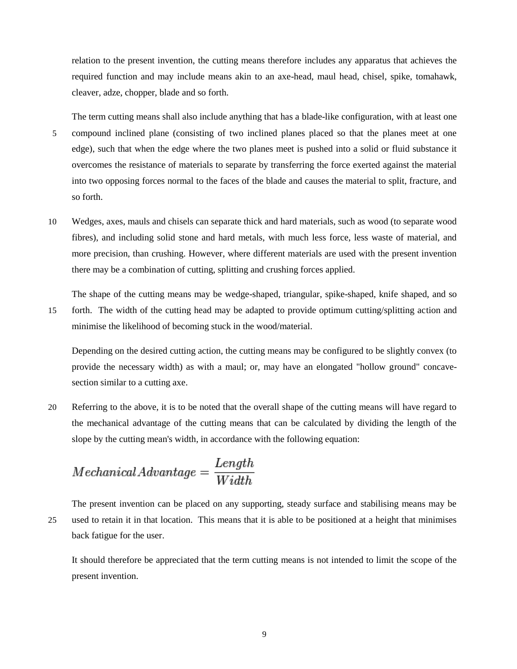relation to the present invention, the cutting means therefore includes any apparatus that achieves the required function and may include means akin to an axe-head, maul head, chisel, spike, tomahawk, cleaver, adze, chopper, blade and so forth.

The term cutting means shall also include anything that has a [blade-](http://en.wikipedia.org/wiki/Blade)like configuration, with at least one

- 5 compound inclined plane (consisting of two inclined planes placed so that the planes meet at one edge), such that when the edge where the two planes meet is pushed into a solid or fluid substance it overcomes the resistance of materials to separate by transferring the force exerted against the material into two opposing forces normal to the faces of the blade and causes the material to split, fracture, and so forth.
- 10 Wedges, [axes,](http://en.wikipedia.org/wiki/Saw) mauls and [chisels](http://en.wikipedia.org/wiki/Chisels) can separate thick and hard materials, such as wood (to separate wood fibres), and including solid stone and hard metals, with much less force, less waste of material, and more precision, than [crushing.](http://en.wikipedia.org/wiki/Crusher) However, where different materials are used with the present invention there may be a combination of cutting, splitting and crushing forces applied.

The shape of the cutting means may be wedge-shaped, triangular, spike-shaped, knife shaped, and so 15 forth. The width of the cutting head may be adapted to provide optimum cutting/splitting action and minimise the likelihood of becoming stuck in the wood/material.

Depending on the desired cutting action, the cutting means may be configured to be slightly convex (to provide the necessary width) as with a maul; or, may have an elongated "hollow ground" concavesection similar to a cutting axe.

20 Referring to the above, it is to be noted that the overall shape of the cutting means will have regard to the mechanical advantage of the cutting means that can be calculated by dividing the length of the slope by the cutting mean's width, in accordance with the following equation:

$$
Mechanical Advantage = \frac{Length}{Width}
$$

The present invention can be placed on any supporting, steady surface and stabilising means may be 25 used to retain it in that location. This means that it is able to be positioned at a height that minimises back fatigue for the user.

It should therefore be appreciated that the term cutting means is not intended to limit the scope of the present invention.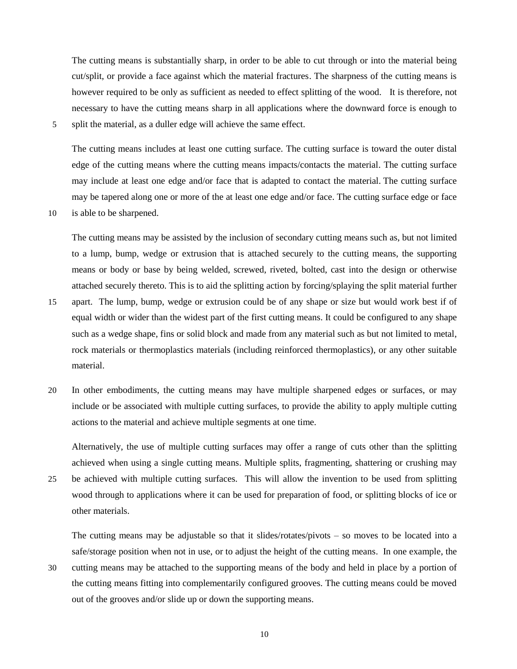The cutting means is substantially sharp, in order to be able to cut through or into the material being cut/split, or provide a face against which the material fractures. The sharpness of the cutting means is however required to be only as sufficient as needed to effect splitting of the wood. It is therefore, not necessary to have the cutting means sharp in all applications where the downward force is enough to 5 split the material, as a duller edge will achieve the same effect.

The cutting means includes at least one cutting surface. The cutting surface is toward the outer distal edge of the cutting means where the cutting means impacts/contacts the material. The cutting surface may include at least one edge and/or face that is adapted to contact the material. The cutting surface may be tapered along one or more of the at least one edge and/or face. The cutting surface edge or face

10 is able to be sharpened.

other materials.

The cutting means may be assisted by the inclusion of secondary cutting means such as, but not limited to a lump, bump, wedge or extrusion that is attached securely to the cutting means, the supporting means or body or base by being welded, screwed, riveted, bolted, cast into the design or otherwise attached securely thereto. This is to aid the splitting action by forcing/splaying the split material further

- 15 apart. The lump, bump, wedge or extrusion could be of any shape or size but would work best if of equal width or wider than the widest part of the first cutting means. It could be configured to any shape such as a wedge shape, fins or solid block and made from any material such as but not limited to metal, rock materials or thermoplastics materials (including reinforced thermoplastics), or any other suitable material.
- 20 In other embodiments, the cutting means may have multiple sharpened edges or surfaces, or may include or be associated with multiple cutting surfaces, to provide the ability to apply multiple cutting actions to the material and achieve multiple segments at one time.

Alternatively, the use of multiple cutting surfaces may offer a range of cuts other than the splitting achieved when using a single cutting means. Multiple splits, fragmenting, shattering or crushing may 25 be achieved with multiple cutting surfaces. This will allow the invention to be used from splitting wood through to applications where it can be used for preparation of food, or splitting blocks of ice or

The cutting means may be adjustable so that it slides/rotates/pivots  $-$  so moves to be located into a safe/storage position when not in use, or to adjust the height of the cutting means. In one example, the 30 cutting means may be attached to the supporting means of the body and held in place by a portion of the cutting means fitting into complementarily configured grooves. The cutting means could be moved out of the grooves and/or slide up or down the supporting means.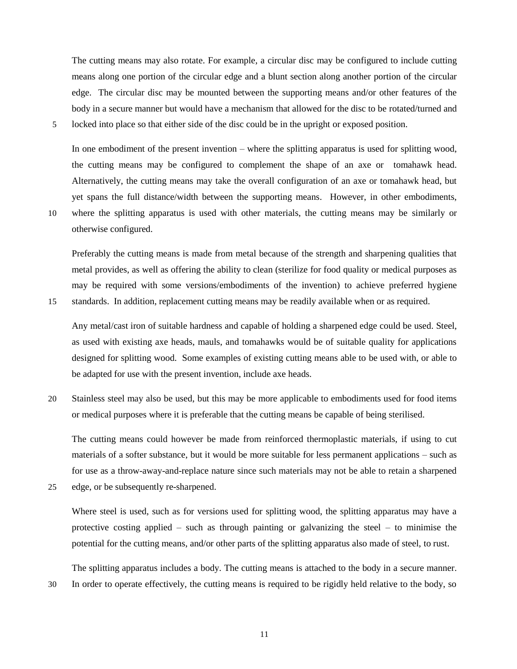The cutting means may also rotate. For example, a circular disc may be configured to include cutting means along one portion of the circular edge and a blunt section along another portion of the circular edge. The circular disc may be mounted between the supporting means and/or other features of the body in a secure manner but would have a mechanism that allowed for the disc to be rotated/turned and 5 locked into place so that either side of the disc could be in the upright or exposed position.

In one embodiment of the present invention – where the splitting apparatus is used for splitting wood, the cutting means may be configured to complement the shape of an axe or tomahawk head. Alternatively, the cutting means may take the overall configuration of an axe or tomahawk head, but yet spans the full distance/width between the supporting means. However, in other embodiments,

10 where the splitting apparatus is used with other materials, the cutting means may be similarly or otherwise configured.

Preferably the cutting means is made from metal because of the strength and sharpening qualities that metal provides, as well as offering the ability to clean (sterilize for food quality or medical purposes as may be required with some versions/embodiments of the invention) to achieve preferred hygiene 15 standards. In addition, replacement cutting means may be readily available when or as required.

Any metal/cast iron of suitable hardness and capable of holding a sharpened edge could be used. Steel, as used with existing axe heads, mauls, and tomahawks would be of suitable quality for applications designed for splitting wood. Some examples of existing cutting means able to be used with, or able to be adapted for use with the present invention, include axe heads.

20 Stainless steel may also be used, but this may be more applicable to embodiments used for food items or medical purposes where it is preferable that the cutting means be capable of being sterilised.

The cutting means could however be made from reinforced thermoplastic materials, if using to cut materials of a softer substance, but it would be more suitable for less permanent applications – such as for use as a throw-away-and-replace nature since such materials may not be able to retain a sharpened

25 edge, or be subsequently re-sharpened.

Where steel is used, such as for versions used for splitting wood, the splitting apparatus may have a protective costing applied – such as through painting or galvanizing the steel – to minimise the potential for the cutting means, and/or other parts of the splitting apparatus also made of steel, to rust.

The splitting apparatus includes a body. The cutting means is attached to the body in a secure manner. 30 In order to operate effectively, the cutting means is required to be rigidly held relative to the body, so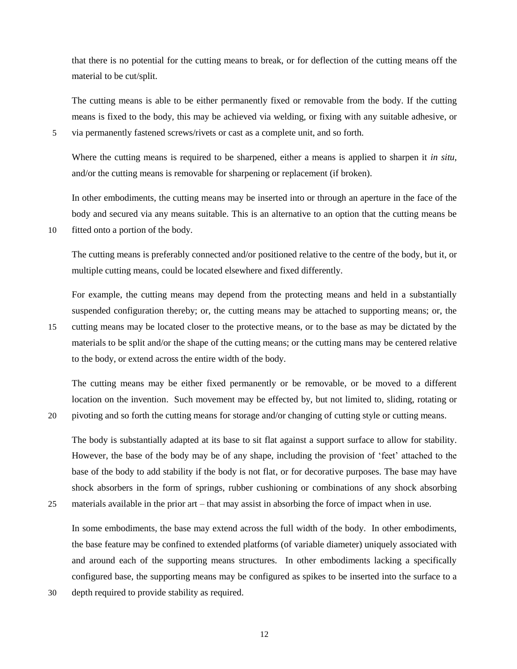that there is no potential for the cutting means to break, or for deflection of the cutting means off the material to be cut/split.

The cutting means is able to be either permanently fixed or removable from the body. If the cutting means is fixed to the body, this may be achieved via welding, or fixing with any suitable adhesive, or 5 via permanently fastened screws/rivets or cast as a complete unit, and so forth.

Where the cutting means is required to be sharpened, either a means is applied to sharpen it *in situ*, and/or the cutting means is removable for sharpening or replacement (if broken).

In other embodiments, the cutting means may be inserted into or through an aperture in the face of the body and secured via any means suitable. This is an alternative to an option that the cutting means be 10 fitted onto a portion of the body.

The cutting means is preferably connected and/or positioned relative to the centre of the body, but it, or multiple cutting means, could be located elsewhere and fixed differently.

For example, the cutting means may depend from the protecting means and held in a substantially suspended configuration thereby; or, the cutting means may be attached to supporting means; or, the

15 cutting means may be located closer to the protective means, or to the base as may be dictated by the materials to be split and/or the shape of the cutting means; or the cutting mans may be centered relative to the body, or extend across the entire width of the body.

The cutting means may be either fixed permanently or be removable, or be moved to a different location on the invention. Such movement may be effected by, but not limited to, sliding, rotating or 20 pivoting and so forth the cutting means for storage and/or changing of cutting style or cutting means.

The body is substantially adapted at its base to sit flat against a support surface to allow for stability. However, the base of the body may be of any shape, including the provision of 'feet' attached to the base of the body to add stability if the body is not flat, or for decorative purposes. The base may have shock absorbers in the form of springs, rubber cushioning or combinations of any shock absorbing

25 materials available in the prior art – that may assist in absorbing the force of impact when in use.

In some embodiments, the base may extend across the full width of the body. In other embodiments, the base feature may be confined to extended platforms (of variable diameter) uniquely associated with and around each of the supporting means structures. In other embodiments lacking a specifically configured base, the supporting means may be configured as spikes to be inserted into the surface to a

30 depth required to provide stability as required.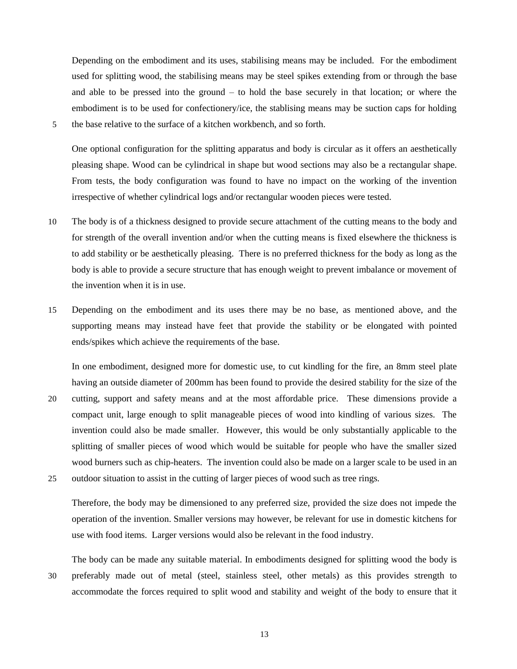Depending on the embodiment and its uses, stabilising means may be included. For the embodiment used for splitting wood, the stabilising means may be steel spikes extending from or through the base and able to be pressed into the ground – to hold the base securely in that location; or where the embodiment is to be used for confectionery/ice, the stablising means may be suction caps for holding 5 the base relative to the surface of a kitchen workbench, and so forth.

One optional configuration for the splitting apparatus and body is circular as it offers an aesthetically pleasing shape. Wood can be cylindrical in shape but wood sections may also be a rectangular shape. From tests, the body configuration was found to have no impact on the working of the invention irrespective of whether cylindrical logs and/or rectangular wooden pieces were tested.

- 10 The body is of a thickness designed to provide secure attachment of the cutting means to the body and for strength of the overall invention and/or when the cutting means is fixed elsewhere the thickness is to add stability or be aesthetically pleasing. There is no preferred thickness for the body as long as the body is able to provide a secure structure that has enough weight to prevent imbalance or movement of the invention when it is in use.
- 15 Depending on the embodiment and its uses there may be no base, as mentioned above, and the supporting means may instead have feet that provide the stability or be elongated with pointed ends/spikes which achieve the requirements of the base.

In one embodiment, designed more for domestic use, to cut kindling for the fire, an 8mm steel plate having an outside diameter of 200mm has been found to provide the desired stability for the size of the 20 cutting, support and safety means and at the most affordable price. These dimensions provide a compact unit, large enough to split manageable pieces of wood into kindling of various sizes. The invention could also be made smaller. However, this would be only substantially applicable to the splitting of smaller pieces of wood which would be suitable for people who have the smaller sized wood burners such as chip-heaters. The invention could also be made on a larger scale to be used in an 25 outdoor situation to assist in the cutting of larger pieces of wood such as tree rings.

Therefore, the body may be dimensioned to any preferred size, provided the size does not impede the operation of the invention. Smaller versions may however, be relevant for use in domestic kitchens for use with food items. Larger versions would also be relevant in the food industry.

The body can be made any suitable material. In embodiments designed for splitting wood the body is 30 preferably made out of metal (steel, stainless steel, other metals) as this provides strength to accommodate the forces required to split wood and stability and weight of the body to ensure that it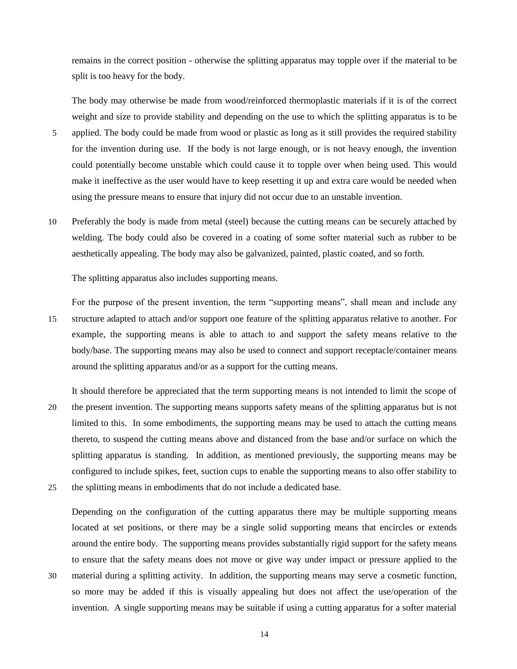remains in the correct position - otherwise the splitting apparatus may topple over if the material to be split is too heavy for the body.

The body may otherwise be made from wood/reinforced thermoplastic materials if it is of the correct weight and size to provide stability and depending on the use to which the splitting apparatus is to be

- 5 applied. The body could be made from wood or plastic as long as it still provides the required stability for the invention during use. If the body is not large enough, or is not heavy enough, the invention could potentially become unstable which could cause it to topple over when being used. This would make it ineffective as the user would have to keep resetting it up and extra care would be needed when using the pressure means to ensure that injury did not occur due to an unstable invention.
- 10 Preferably the body is made from metal (steel) because the cutting means can be securely attached by welding. The body could also be covered in a coating of some softer material such as rubber to be aesthetically appealing. The body may also be galvanized, painted, plastic coated, and so forth.

The splitting apparatus also includes supporting means.

For the purpose of the present invention, the term "supporting means", shall mean and include any 15 structure adapted to attach and/or support one feature of the splitting apparatus relative to another. For example, the supporting means is able to attach to and support the safety means relative to the body/base. The supporting means may also be used to connect and support receptacle/container means around the splitting apparatus and/or as a support for the cutting means.

It should therefore be appreciated that the term supporting means is not intended to limit the scope of 20 the present invention. The supporting means supports safety means of the splitting apparatus but is not limited to this. In some embodiments, the supporting means may be used to attach the cutting means thereto, to suspend the cutting means above and distanced from the base and/or surface on which the splitting apparatus is standing. In addition, as mentioned previously, the supporting means may be configured to include spikes, feet, suction cups to enable the supporting means to also offer stability to 25 the splitting means in embodiments that do not include a dedicated base.

Depending on the configuration of the cutting apparatus there may be multiple supporting means located at set positions, or there may be a single solid supporting means that encircles or extends around the entire body. The supporting means provides substantially rigid support for the safety means to ensure that the safety means does not move or give way under impact or pressure applied to the

30 material during a splitting activity. In addition, the supporting means may serve a cosmetic function, so more may be added if this is visually appealing but does not affect the use/operation of the invention. A single supporting means may be suitable if using a cutting apparatus for a softer material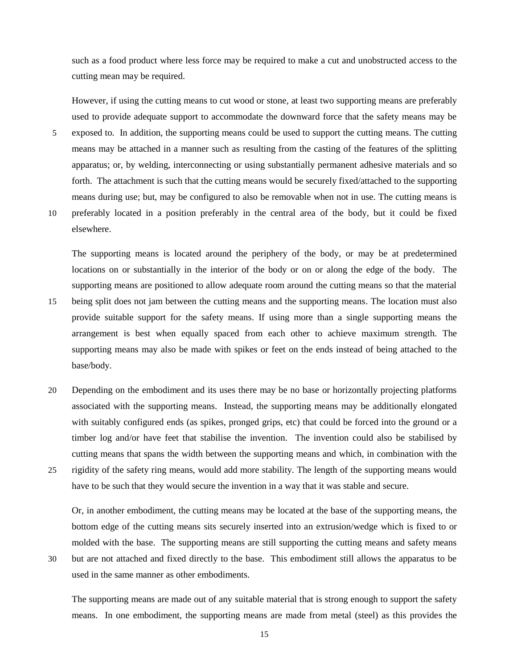such as a food product where less force may be required to make a cut and unobstructed access to the cutting mean may be required.

However, if using the cutting means to cut wood or stone, at least two supporting means are preferably used to provide adequate support to accommodate the downward force that the safety means may be

- 5 exposed to*.* In addition, the supporting means could be used to support the cutting means. The cutting means may be attached in a manner such as resulting from the casting of the features of the splitting apparatus; or, by welding, interconnecting or using substantially permanent adhesive materials and so forth. The attachment is such that the cutting means would be securely fixed/attached to the supporting means during use; but, may be configured to also be removable when not in use. The cutting means is
- 10 preferably located in a position preferably in the central area of the body, but it could be fixed elsewhere.

The supporting means is located around the periphery of the body, or may be at predetermined locations on or substantially in the interior of the body or on or along the edge of the body. The supporting means are positioned to allow adequate room around the cutting means so that the material

- 15 being split does not jam between the cutting means and the supporting means. The location must also provide suitable support for the safety means. If using more than a single supporting means the arrangement is best when equally spaced from each other to achieve maximum strength. The supporting means may also be made with spikes or feet on the ends instead of being attached to the base/body.
- 20 Depending on the embodiment and its uses there may be no base or horizontally projecting platforms associated with the supporting means. Instead, the supporting means may be additionally elongated with suitably configured ends (as spikes, pronged grips, etc) that could be forced into the ground or a timber log and/or have feet that stabilise the invention. The invention could also be stabilised by cutting means that spans the width between the supporting means and which, in combination with the 25 rigidity of the safety ring means, would add more stability. The length of the supporting means would have to be such that they would secure the invention in a way that it was stable and secure.

Or, in another embodiment, the cutting means may be located at the base of the supporting means, the bottom edge of the cutting means sits securely inserted into an extrusion/wedge which is fixed to or molded with the base. The supporting means are still supporting the cutting means and safety means 30 but are not attached and fixed directly to the base. This embodiment still allows the apparatus to be used in the same manner as other embodiments.

The supporting means are made out of any suitable material that is strong enough to support the safety means. In one embodiment, the supporting means are made from metal (steel) as this provides the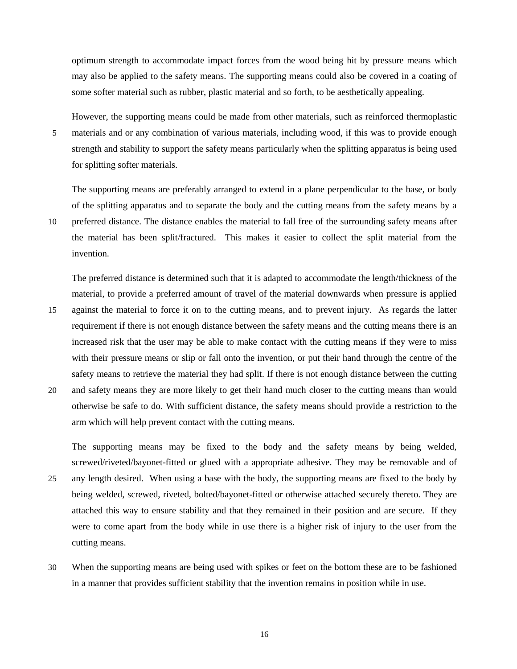optimum strength to accommodate impact forces from the wood being hit by pressure means which may also be applied to the safety means. The supporting means could also be covered in a coating of some softer material such as rubber, plastic material and so forth, to be aesthetically appealing.

However, the supporting means could be made from other materials, such as reinforced thermoplastic 5 materials and or any combination of various materials, including wood, if this was to provide enough strength and stability to support the safety means particularly when the splitting apparatus is being used for splitting softer materials.

The supporting means are preferably arranged to extend in a plane perpendicular to the base, or body of the splitting apparatus and to separate the body and the cutting means from the safety means by a 10 preferred distance. The distance enables the material to fall free of the surrounding safety means after the material has been split/fractured. This makes it easier to collect the split material from the invention.

The preferred distance is determined such that it is adapted to accommodate the length/thickness of the material, to provide a preferred amount of travel of the material downwards when pressure is applied 15 against the material to force it on to the cutting means, and to prevent injury. As regards the latter requirement if there is not enough distance between the safety means and the cutting means there is an increased risk that the user may be able to make contact with the cutting means if they were to miss with their pressure means or slip or fall onto the invention, or put their hand through the centre of the safety means to retrieve the material they had split. If there is not enough distance between the cutting 20 and safety means they are more likely to get their hand much closer to the cutting means than would otherwise be safe to do. With sufficient distance, the safety means should provide a restriction to the

arm which will help prevent contact with the cutting means.

The supporting means may be fixed to the body and the safety means by being welded, screwed/riveted/bayonet-fitted or glued with a appropriate adhesive. They may be removable and of 25 any length desired. When using a base with the body, the supporting means are fixed to the body by being welded, screwed, riveted, bolted/bayonet-fitted or otherwise attached securely thereto. They are attached this way to ensure stability and that they remained in their position and are secure. If they were to come apart from the body while in use there is a higher risk of injury to the user from the cutting means.

30 When the supporting means are being used with spikes or feet on the bottom these are to be fashioned in a manner that provides sufficient stability that the invention remains in position while in use.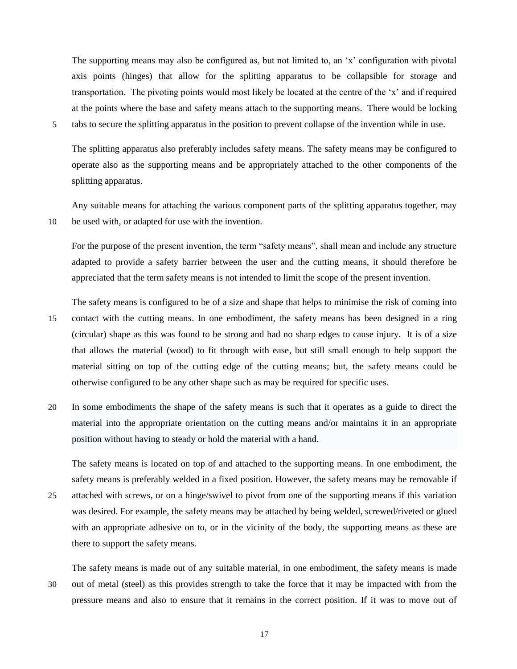The supporting means may also be configured as, but not limited to, an 'x' configuration with pivotal axis points (hinges) that allow for the splitting apparatus to be collapsible for storage and transportation. The pivoting points would most likely be located at the centre of the 'x' and if required at the points where the base and safety means attach to the supporting means. There would be locking 5 tabs to secure the splitting apparatus in the position to prevent collapse of the invention while in use.

The splitting apparatus also preferably includes safety means. The safety means may be configured to operate also as the supporting means and be appropriately attached to the other components of the splitting apparatus.

Any suitable means for attaching the various component parts of the splitting apparatus together, may 10 be used with, or adapted for use with the invention.

For the purpose of the present invention, the term "safety means", shall mean and include any structure adapted to provide a safety barrier between the user and the cutting means, it should therefore be appreciated that the term safety means is not intended to limit the scope of the present invention.

The safety means is configured to be of a size and shape that helps to minimise the risk of coming into 15 contact with the cutting means. In one embodiment, the safety means has been designed in a ring (circular) shape as this was found to be strong and had no sharp edges to cause injury. It is of a size that allows the material (wood) to fit through with ease, but still small enough to help support the material sitting on top of the cutting edge of the cutting means; but, the safety means could be otherwise configured to be any other shape such as may be required for specific uses.

20 In some embodiments the shape of the safety means is such that it operates as a guide to direct the material into the appropriate orientation on the cutting means and/or maintains it in an appropriate position without having to steady or hold the material with a hand.

The safety means is located on top of and attached to the supporting means. In one embodiment, the safety means is preferably welded in a fixed position. However, the safety means may be removable if

25 attached with screws, or on a hinge/swivel to pivot from one of the supporting means if this variation was desired. For example, the safety means may be attached by being welded, screwed/riveted or glued with an appropriate adhesive on to, or in the vicinity of the body, the supporting means as these are there to support the safety means.

The safety means is made out of any suitable material, in one embodiment, the safety means is made 30 out of metal (steel) as this provides strength to take the force that it may be impacted with from the pressure means and also to ensure that it remains in the correct position. If it was to move out of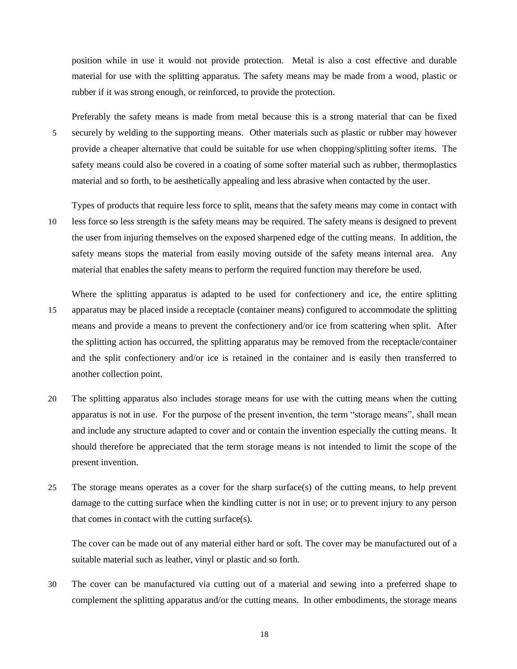position while in use it would not provide protection. Metal is also a cost effective and durable material for use with the splitting apparatus. The safety means may be made from a wood, plastic or rubber if it was strong enough, or reinforced, to provide the protection.

Preferably the safety means is made from metal because this is a strong material that can be fixed 5 securely by welding to the supporting means. Other materials such as plastic or rubber may however provide a cheaper alternative that could be suitable for use when chopping/splitting softer items. The safety means could also be covered in a coating of some softer material such as rubber, thermoplastics material and so forth, to be aesthetically appealing and less abrasive when contacted by the user.

Types of products that require less force to split, means that the safety means may come in contact with 10 less force so less strength is the safety means may be required. The safety means is designed to prevent the user from injuring themselves on the exposed sharpened edge of the cutting means. In addition, the safety means stops the material from easily moving outside of the safety means internal area. Any material that enables the safety means to perform the required function may therefore be used.

Where the splitting apparatus is adapted to be used for confectionery and ice, the entire splitting 15 apparatus may be placed inside a receptacle (container means) configured to accommodate the splitting means and provide a means to prevent the confectionery and/or ice from scattering when split. After the splitting action has occurred, the splitting apparatus may be removed from the receptacle/container and the split confectionery and/or ice is retained in the container and is easily then transferred to another collection point.

- 20 The splitting apparatus also includes storage means for use with the cutting means when the cutting apparatus is not in use. For the purpose of the present invention, the term "storage means", shall mean and include any structure adapted to cover and or contain the invention especially the cutting means. It should therefore be appreciated that the term storage means is not intended to limit the scope of the present invention.
- 25 The storage means operates as a cover for the sharp surface(s) of the cutting means, to help prevent damage to the cutting surface when the kindling cutter is not in use; or to prevent injury to any person that comes in contact with the cutting surface(s).

The cover can be made out of any material either hard or soft. The cover may be manufactured out of a suitable material such as leather, vinyl or plastic and so forth.

30 The cover can be manufactured via cutting out of a material and sewing into a preferred shape to complement the splitting apparatus and/or the cutting means. In other embodiments, the storage means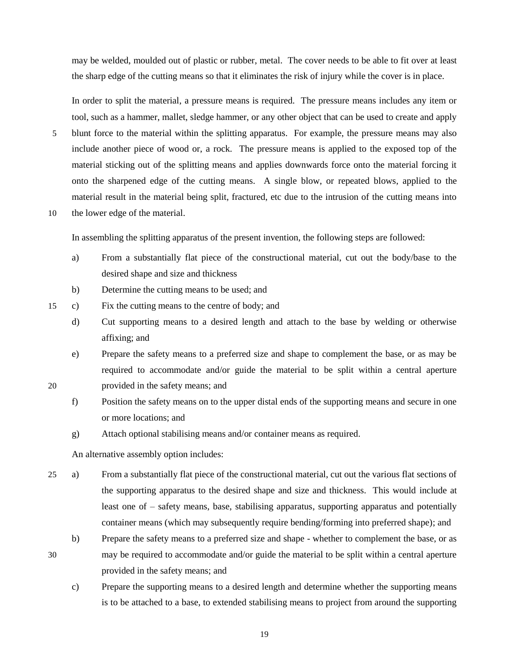may be welded, moulded out of plastic or rubber, metal. The cover needs to be able to fit over at least the sharp edge of the cutting means so that it eliminates the risk of injury while the cover is in place.

In order to split the material, a pressure means is required. The pressure means includes any item or tool, such as a hammer, mallet, sledge hammer, or any other object that can be used to create and apply

5 blunt force to the material within the splitting apparatus. For example, the pressure means may also include another piece of wood or, a rock. The pressure means is applied to the exposed top of the material sticking out of the splitting means and applies downwards force onto the material forcing it onto the sharpened edge of the cutting means. A single blow, or repeated blows, applied to the material result in the material being split, fractured, etc due to the intrusion of the cutting means into

10 the lower edge of the material.

In assembling the splitting apparatus of the present invention, the following steps are followed:

- a) From a substantially flat piece of the constructional material, cut out the body/base to the desired shape and size and thickness
- b) Determine the cutting means to be used; and
- 15 c) Fix the cutting means to the centre of body; and
	- d) Cut supporting means to a desired length and attach to the base by welding or otherwise affixing; and
- e) Prepare the safety means to a preferred size and shape to complement the base, or as may be required to accommodate and/or guide the material to be split within a central aperture 20 provided in the safety means; and
	- f) Position the safety means on to the upper distal ends of the supporting means and secure in one or more locations; and
	- g) Attach optional stabilising means and/or container means as required.

An alternative assembly option includes:

- 25 a) From a substantially flat piece of the constructional material, cut out the various flat sections of the supporting apparatus to the desired shape and size and thickness. This would include at least one of – safety means, base, stabilising apparatus, supporting apparatus and potentially container means (which may subsequently require bending/forming into preferred shape); and
- b) Prepare the safety means to a preferred size and shape whether to complement the base, or as 30 may be required to accommodate and/or guide the material to be split within a central aperture provided in the safety means; and
	- c) Prepare the supporting means to a desired length and determine whether the supporting means is to be attached to a base, to extended stabilising means to project from around the supporting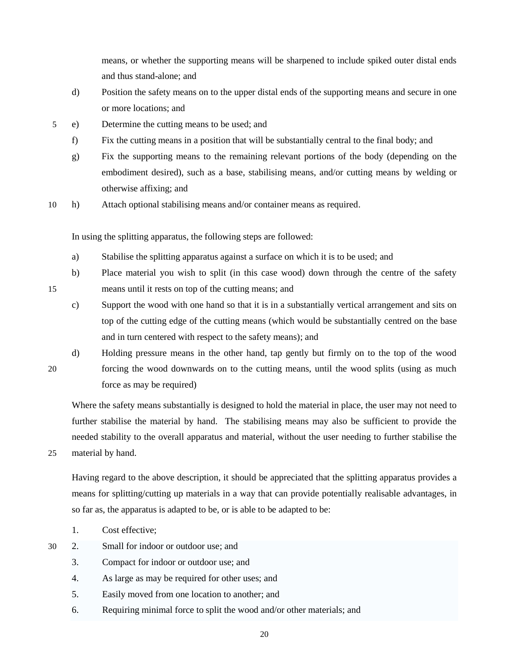means, or whether the supporting means will be sharpened to include spiked outer distal ends and thus stand-alone; and

- d) Position the safety means on to the upper distal ends of the supporting means and secure in one or more locations; and
- 5 e) Determine the cutting means to be used; and
	- f) Fix the cutting means in a position that will be substantially central to the final body; and
	- g) Fix the supporting means to the remaining relevant portions of the body (depending on the embodiment desired), such as a base, stabilising means, and/or cutting means by welding or otherwise affixing; and
- 10 h) Attach optional stabilising means and/or container means as required.

In using the splitting apparatus, the following steps are followed:

- a) Stabilise the splitting apparatus against a surface on which it is to be used; and
- b) Place material you wish to split (in this case wood) down through the centre of the safety
- 15 means until it rests on top of the cutting means; and
	- c) Support the wood with one hand so that it is in a substantially vertical arrangement and sits on top of the cutting edge of the cutting means (which would be substantially centred on the base and in turn centered with respect to the safety means); and

d) Holding pressure means in the other hand, tap gently but firmly on to the top of the wood 20 forcing the wood downwards on to the cutting means, until the wood splits (using as much force as may be required)

Where the safety means substantially is designed to hold the material in place, the user may not need to further stabilise the material by hand. The stabilising means may also be sufficient to provide the needed stability to the overall apparatus and material, without the user needing to further stabilise the 25 material by hand.

Having regard to the above description, it should be appreciated that the splitting apparatus provides a means for splitting/cutting up materials in a way that can provide potentially realisable advantages, in so far as, the apparatus is adapted to be, or is able to be adapted to be:

- 1. Cost effective;
- 30 2. Small for indoor or outdoor use; and
	- 3. Compact for indoor or outdoor use; and
	- 4. As large as may be required for other uses; and
	- 5. Easily moved from one location to another; and
	- 6. Requiring minimal force to split the wood and/or other materials; and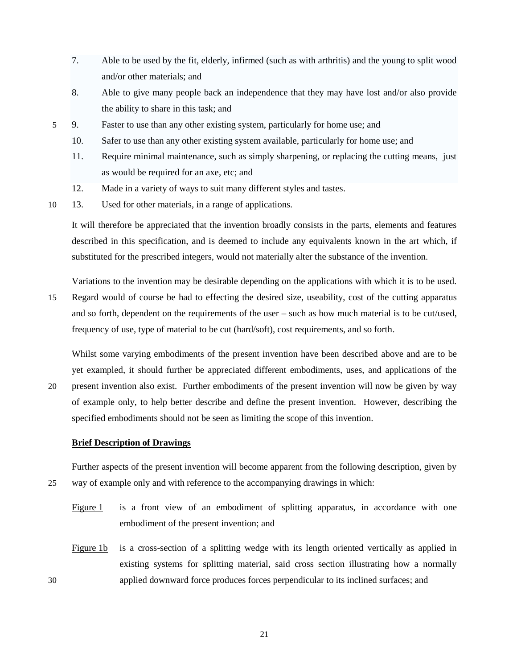- 7. Able to be used by the fit, elderly, infirmed (such as with arthritis) and the young to split wood and/or other materials; and
- 8. Able to give many people back an independence that they may have lost and/or also provide the ability to share in this task; and
- 5 9. Faster to use than any other existing system, particularly for home use; and
	- 10. Safer to use than any other existing system available, particularly for home use; and
	- 11. Require minimal maintenance, such as simply sharpening, or replacing the cutting means, just as would be required for an axe, etc; and
	- 12. Made in a variety of ways to suit many different styles and tastes.
- 10 13. Used for other materials, in a range of applications.

It will therefore be appreciated that the invention broadly consists in the parts, elements and features described in this specification, and is deemed to include any equivalents known in the art which, if substituted for the prescribed integers, would not materially alter the substance of the invention.

Variations to the invention may be desirable depending on the applications with which it is to be used.

15 Regard would of course be had to effecting the desired size, useability, cost of the cutting apparatus and so forth, dependent on the requirements of the user – such as how much material is to be cut/used, frequency of use, type of material to be cut (hard/soft), cost requirements, and so forth.

Whilst some varying embodiments of the present invention have been described above and are to be yet exampled, it should further be appreciated different embodiments, uses, and applications of the

20 present invention also exist. Further embodiments of the present invention will now be given by way of example only, to help better describe and define the present invention. However, describing the specified embodiments should not be seen as limiting the scope of this invention.

### **Brief Description of Drawings**

Further aspects of the present invention will become apparent from the following description, given by 25 way of example only and with reference to the accompanying drawings in which:

- Figure 1 is a front view of an embodiment of splitting apparatus, in accordance with one embodiment of the present invention; and
- Figure 1b is a cross-section of a splitting wedge with its length oriented vertically as applied in existing systems for splitting material, said cross section illustrating how a normally 30 applied downward force produces forces perpendicular to its inclined surfaces; and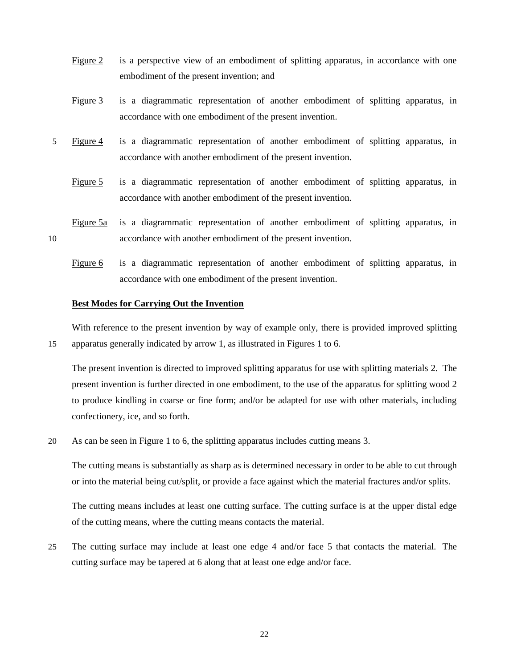- Figure 2 is a perspective view of an embodiment of splitting apparatus, in accordance with one embodiment of the present invention; and
- Figure 3 is a diagrammatic representation of another embodiment of splitting apparatus, in accordance with one embodiment of the present invention.
- 5 Figure 4 is a diagrammatic representation of another embodiment of splitting apparatus, in accordance with another embodiment of the present invention.
	- Figure 5 is a diagrammatic representation of another embodiment of splitting apparatus, in accordance with another embodiment of the present invention.
- Figure 5a is a diagrammatic representation of another embodiment of splitting apparatus, in 10 accordance with another embodiment of the present invention.
	- Figure 6 is a diagrammatic representation of another embodiment of splitting apparatus, in accordance with one embodiment of the present invention.

### **Best Modes for Carrying Out the Invention**

With reference to the present invention by way of example only, there is provided improved splitting 15 apparatus generally indicated by arrow 1, as illustrated in Figures 1 to 6.

The present invention is directed to improved splitting apparatus for use with splitting materials 2. The present invention is further directed in one embodiment, to the use of the apparatus for splitting wood 2 to produce kindling in coarse or fine form; and/or be adapted for use with other materials, including confectionery, ice, and so forth.

20 As can be seen in Figure 1 to 6, the splitting apparatus includes cutting means 3.

The cutting means is substantially as sharp as is determined necessary in order to be able to cut through or into the material being cut/split, or provide a face against which the material fractures and/or splits.

The cutting means includes at least one cutting surface. The cutting surface is at the upper distal edge of the cutting means, where the cutting means contacts the material.

25 The cutting surface may include at least one edge 4 and/or face 5 that contacts the material. The cutting surface may be tapered at 6 along that at least one edge and/or face.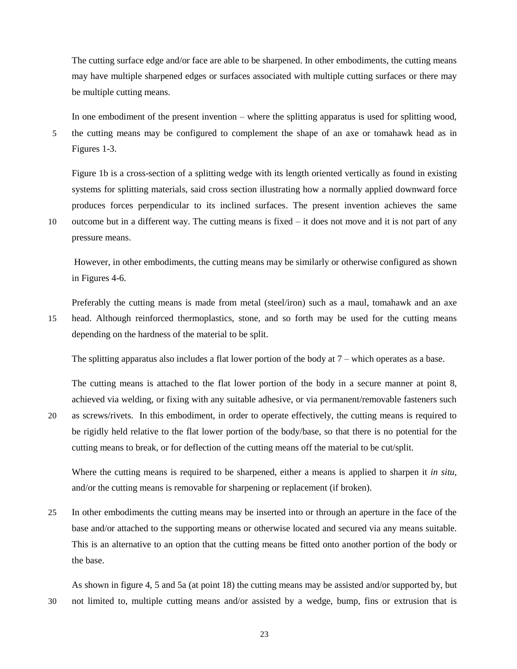The cutting surface edge and/or face are able to be sharpened. In other embodiments, the cutting means may have multiple sharpened edges or surfaces associated with multiple cutting surfaces or there may be multiple cutting means.

In one embodiment of the present invention – where the splitting apparatus is used for splitting wood,

5 the cutting means may be configured to complement the shape of an axe or tomahawk head as in Figures 1-3.

Figure 1b is a cross-section of a splitting wedge with its length oriented vertically as found in existing systems for splitting materials, said cross section illustrating how a normally applied downward force produces forces perpendicular to its inclined surfaces. The present invention achieves the same 10 outcome but in a different way. The cutting means is fixed – it does not move and it is not part of any pressure means.

However, in other embodiments, the cutting means may be similarly or otherwise configured as shown in Figures 4-6.

Preferably the cutting means is made from metal (steel/iron) such as a maul, tomahawk and an axe

15 head. Although reinforced thermoplastics, stone, and so forth may be used for the cutting means depending on the hardness of the material to be split.

The splitting apparatus also includes a flat lower portion of the body at  $7$  – which operates as a base.

The cutting means is attached to the flat lower portion of the body in a secure manner at point 8, achieved via welding, or fixing with any suitable adhesive, or via permanent/removable fasteners such 20 as screws/rivets. In this embodiment, in order to operate effectively, the cutting means is required to be rigidly held relative to the flat lower portion of the body/base, so that there is no potential for the cutting means to break, or for deflection of the cutting means off the material to be cut/split.

Where the cutting means is required to be sharpened, either a means is applied to sharpen it *in situ*, and/or the cutting means is removable for sharpening or replacement (if broken).

25 In other embodiments the cutting means may be inserted into or through an aperture in the face of the base and/or attached to the supporting means or otherwise located and secured via any means suitable. This is an alternative to an option that the cutting means be fitted onto another portion of the body or the base.

As shown in figure 4, 5 and 5a (at point 18) the cutting means may be assisted and/or supported by, but 30 not limited to, multiple cutting means and/or assisted by a wedge, bump, fins or extrusion that is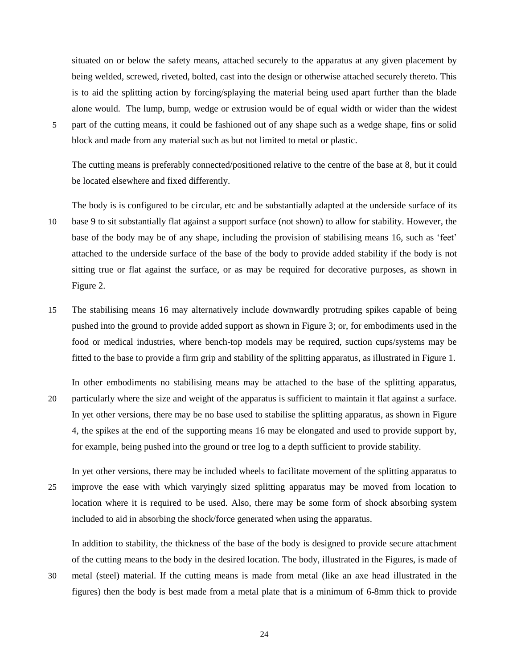situated on or below the safety means, attached securely to the apparatus at any given placement by being welded, screwed, riveted, bolted, cast into the design or otherwise attached securely thereto. This is to aid the splitting action by forcing/splaying the material being used apart further than the blade alone would. The lump, bump, wedge or extrusion would be of equal width or wider than the widest 5 part of the cutting means, it could be fashioned out of any shape such as a wedge shape, fins or solid block and made from any material such as but not limited to metal or plastic.

The cutting means is preferably connected/positioned relative to the centre of the base at 8, but it could be located elsewhere and fixed differently.

The body is is configured to be circular, etc and be substantially adapted at the underside surface of its 10 base 9 to sit substantially flat against a support surface (not shown) to allow for stability. However, the base of the body may be of any shape, including the provision of stabilising means 16, such as 'feet' attached to the underside surface of the base of the body to provide added stability if the body is not sitting true or flat against the surface, or as may be required for decorative purposes, as shown in Figure 2.

- 15 The stabilising means 16 may alternatively include downwardly protruding spikes capable of being pushed into the ground to provide added support as shown in Figure 3; or, for embodiments used in the food or medical industries, where bench-top models may be required, suction cups/systems may be fitted to the base to provide a firm grip and stability of the splitting apparatus, as illustrated in Figure 1.
- In other embodiments no stabilising means may be attached to the base of the splitting apparatus, 20 particularly where the size and weight of the apparatus is sufficient to maintain it flat against a surface. In yet other versions, there may be no base used to stabilise the splitting apparatus, as shown in Figure 4, the spikes at the end of the supporting means 16 may be elongated and used to provide support by, for example, being pushed into the ground or tree log to a depth sufficient to provide stability.
- In yet other versions, there may be included wheels to facilitate movement of the splitting apparatus to 25 improve the ease with which varyingly sized splitting apparatus may be moved from location to location where it is required to be used. Also, there may be some form of shock absorbing system included to aid in absorbing the shock/force generated when using the apparatus.

In addition to stability, the thickness of the base of the body is designed to provide secure attachment of the cutting means to the body in the desired location. The body, illustrated in the Figures, is made of 30 metal (steel) material. If the cutting means is made from metal (like an axe head illustrated in the

figures) then the body is best made from a metal plate that is a minimum of 6-8mm thick to provide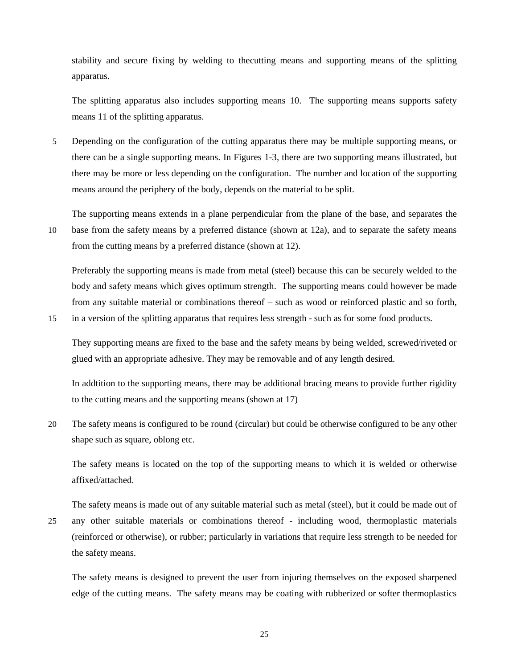stability and secure fixing by welding to thecutting means and supporting means of the splitting apparatus.

The splitting apparatus also includes supporting means 10. The supporting means supports safety means 11 of the splitting apparatus.

5 Depending on the configuration of the cutting apparatus there may be multiple supporting means, or there can be a single supporting means. In Figures 1-3, there are two supporting means illustrated, but there may be more or less depending on the configuration. The number and location of the supporting means around the periphery of the body, depends on the material to be split.

The supporting means extends in a plane perpendicular from the plane of the base, and separates the 10 base from the safety means by a preferred distance (shown at 12a), and to separate the safety means from the cutting means by a preferred distance (shown at 12).

Preferably the supporting means is made from metal (steel) because this can be securely welded to the body and safety means which gives optimum strength. The supporting means could however be made from any suitable material or combinations thereof – such as wood or reinforced plastic and so forth,

15 in a version of the splitting apparatus that requires less strength - such as for some food products.

They supporting means are fixed to the base and the safety means by being welded, screwed/riveted or glued with an appropriate adhesive. They may be removable and of any length desired.

In addtition to the supporting means, there may be additional bracing means to provide further rigidity to the cutting means and the supporting means (shown at 17)

20 The safety means is configured to be round (circular) but could be otherwise configured to be any other shape such as square, oblong etc.

The safety means is located on the top of the supporting means to which it is welded or otherwise affixed/attached.

The safety means is made out of any suitable material such as metal (steel), but it could be made out of 25 any other suitable materials or combinations thereof - including wood, thermoplastic materials (reinforced or otherwise), or rubber; particularly in variations that require less strength to be needed for the safety means.

The safety means is designed to prevent the user from injuring themselves on the exposed sharpened edge of the cutting means. The safety means may be coating with rubberized or softer thermoplastics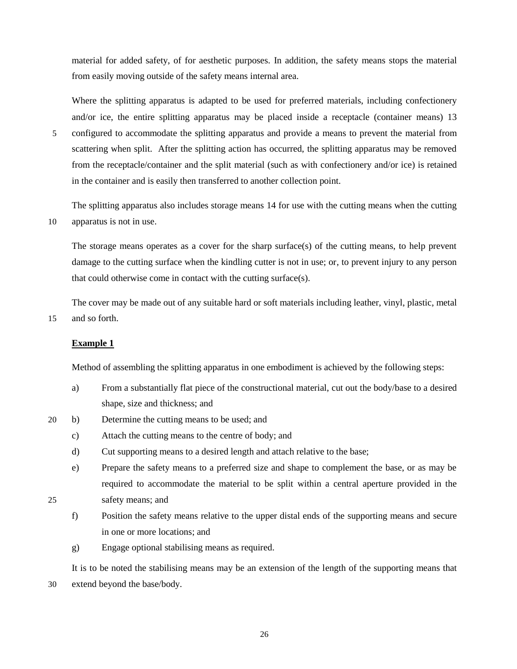material for added safety, of for aesthetic purposes. In addition, the safety means stops the material from easily moving outside of the safety means internal area.

Where the splitting apparatus is adapted to be used for preferred materials, including confectionery and/or ice, the entire splitting apparatus may be placed inside a receptacle (container means) 13

5 configured to accommodate the splitting apparatus and provide a means to prevent the material from scattering when split. After the splitting action has occurred, the splitting apparatus may be removed from the receptacle/container and the split material (such as with confectionery and/or ice) is retained in the container and is easily then transferred to another collection point.

The splitting apparatus also includes storage means 14 for use with the cutting means when the cutting 10 apparatus is not in use.

The storage means operates as a cover for the sharp surface(s) of the cutting means, to help prevent damage to the cutting surface when the kindling cutter is not in use; or, to prevent injury to any person that could otherwise come in contact with the cutting surface(s).

The cover may be made out of any suitable hard or soft materials including leather, vinyl, plastic, metal 15 and so forth.

### **Example 1**

Method of assembling the splitting apparatus in one embodiment is achieved by the following steps:

- a) From a substantially flat piece of the constructional material, cut out the body/base to a desired shape, size and thickness; and
- 20 b) Determine the cutting means to be used; and
	- c) Attach the cutting means to the centre of body; and
	- d) Cut supporting means to a desired length and attach relative to the base;
	- e) Prepare the safety means to a preferred size and shape to complement the base, or as may be required to accommodate the material to be split within a central aperture provided in the
- 25 safety means; and
	- f) Position the safety means relative to the upper distal ends of the supporting means and secure in one or more locations; and
	- g) Engage optional stabilising means as required.

It is to be noted the stabilising means may be an extension of the length of the supporting means that 30 extend beyond the base/body.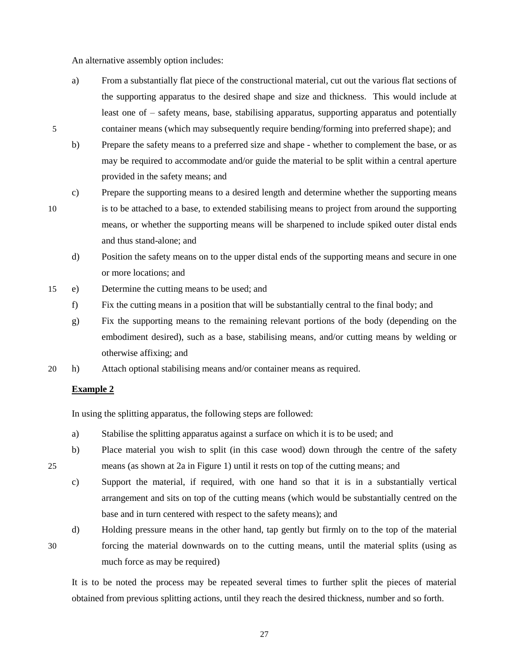An alternative assembly option includes:

- a) From a substantially flat piece of the constructional material, cut out the various flat sections of the supporting apparatus to the desired shape and size and thickness. This would include at least one of – safety means, base, stabilising apparatus, supporting apparatus and potentially 5 container means (which may subsequently require bending/forming into preferred shape); and
	- b) Prepare the safety means to a preferred size and shape whether to complement the base, or as may be required to accommodate and/or guide the material to be split within a central aperture provided in the safety means; and

- c) Prepare the supporting means to a desired length and determine whether the supporting means 10 is to be attached to a base, to extended stabilising means to project from around the supporting means, or whether the supporting means will be sharpened to include spiked outer distal ends and thus stand-alone; and
	- d) Position the safety means on to the upper distal ends of the supporting means and secure in one or more locations; and
- 15 e) Determine the cutting means to be used; and
	- f) Fix the cutting means in a position that will be substantially central to the final body; and
	- g) Fix the supporting means to the remaining relevant portions of the body (depending on the embodiment desired), such as a base, stabilising means, and/or cutting means by welding or otherwise affixing; and
- 20 h) Attach optional stabilising means and/or container means as required.

### **Example 2**

In using the splitting apparatus, the following steps are followed:

- a) Stabilise the splitting apparatus against a surface on which it is to be used; and
- b) Place material you wish to split (in this case wood) down through the centre of the safety 25 means (as shown at 2a in Figure 1) until it rests on top of the cutting means; and
	- c) Support the material, if required, with one hand so that it is in a substantially vertical arrangement and sits on top of the cutting means (which would be substantially centred on the base and in turn centered with respect to the safety means); and
- 
- d) Holding pressure means in the other hand, tap gently but firmly on to the top of the material 30 forcing the material downwards on to the cutting means, until the material splits (using as much force as may be required)

It is to be noted the process may be repeated several times to further split the pieces of material obtained from previous splitting actions, until they reach the desired thickness, number and so forth.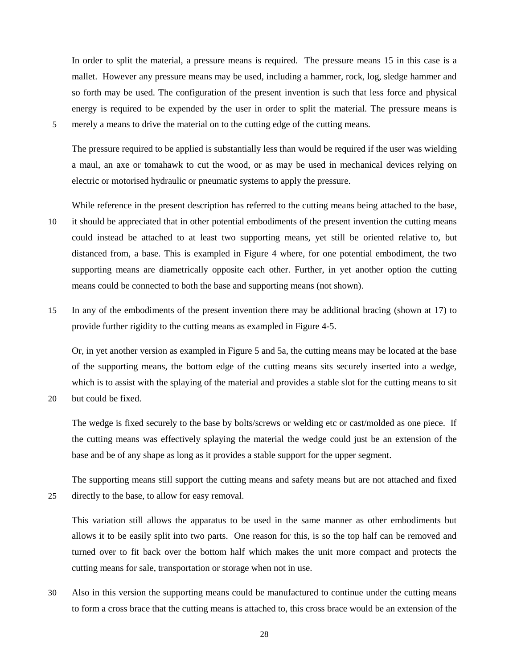In order to split the material, a pressure means is required. The pressure means 15 in this case is a mallet. However any pressure means may be used, including a hammer, rock, log, sledge hammer and so forth may be used. The configuration of the present invention is such that less force and physical energy is required to be expended by the user in order to split the material. The pressure means is 5 merely a means to drive the material on to the cutting edge of the cutting means.

The pressure required to be applied is substantially less than would be required if the user was wielding a maul, an axe or tomahawk to cut the wood, or as may be used in mechanical devices relying on electric or motorised hydraulic or pneumatic systems to apply the pressure.

While reference in the present description has referred to the cutting means being attached to the base, 10 it should be appreciated that in other potential embodiments of the present invention the cutting means could instead be attached to at least two supporting means, yet still be oriented relative to, but distanced from, a base. This is exampled in Figure 4 where, for one potential embodiment, the two supporting means are diametrically opposite each other. Further, in yet another option the cutting means could be connected to both the base and supporting means (not shown).

15 In any of the embodiments of the present invention there may be additional bracing (shown at 17) to provide further rigidity to the cutting means as exampled in Figure 4-5.

Or, in yet another version as exampled in Figure 5 and 5a, the cutting means may be located at the base of the supporting means, the bottom edge of the cutting means sits securely inserted into a wedge, which is to assist with the splaying of the material and provides a stable slot for the cutting means to sit

20 but could be fixed.

The wedge is fixed securely to the base by bolts/screws or welding etc or cast/molded as one piece. If the cutting means was effectively splaying the material the wedge could just be an extension of the base and be of any shape as long as it provides a stable support for the upper segment.

The supporting means still support the cutting means and safety means but are not attached and fixed 25 directly to the base, to allow for easy removal.

This variation still allows the apparatus to be used in the same manner as other embodiments but allows it to be easily split into two parts. One reason for this, is so the top half can be removed and turned over to fit back over the bottom half which makes the unit more compact and protects the cutting means for sale, transportation or storage when not in use.

30 Also in this version the supporting means could be manufactured to continue under the cutting means to form a cross brace that the cutting means is attached to, this cross brace would be an extension of the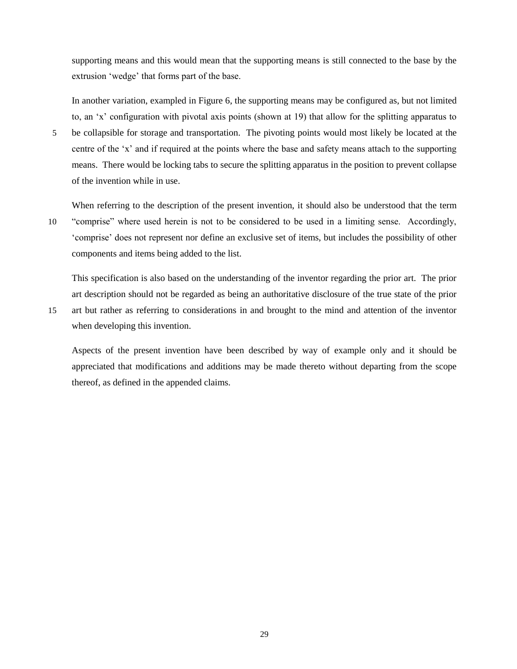supporting means and this would mean that the supporting means is still connected to the base by the extrusion 'wedge' that forms part of the base.

In another variation, exampled in Figure 6, the supporting means may be configured as, but not limited to, an 'x' configuration with pivotal axis points (shown at 19) that allow for the splitting apparatus to

5 be collapsible for storage and transportation. The pivoting points would most likely be located at the centre of the 'x' and if required at the points where the base and safety means attach to the supporting means. There would be locking tabs to secure the splitting apparatus in the position to prevent collapse of the invention while in use.

When referring to the description of the present invention, it should also be understood that the term 10 "comprise" where used herein is not to be considered to be used in a limiting sense. Accordingly, 'comprise' does not represent nor define an exclusive set of items, but includes the possibility of other components and items being added to the list.

This specification is also based on the understanding of the inventor regarding the prior art. The prior art description should not be regarded as being an authoritative disclosure of the true state of the prior 15 art but rather as referring to considerations in and brought to the mind and attention of the inventor when developing this invention.

Aspects of the present invention have been described by way of example only and it should be appreciated that modifications and additions may be made thereto without departing from the scope thereof, as defined in the appended claims.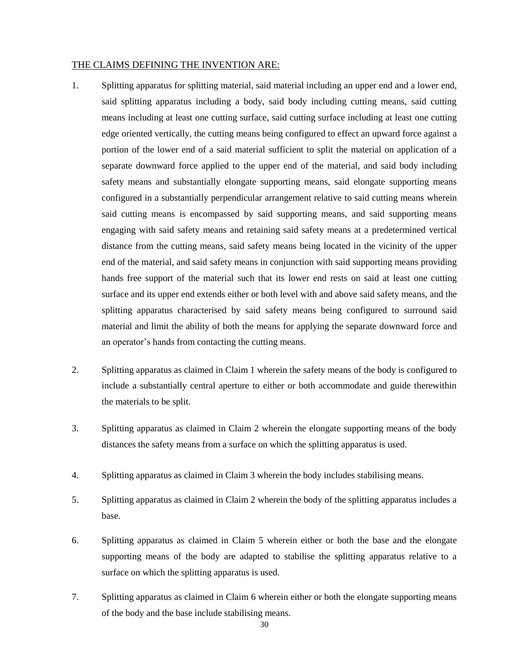#### THE CLAIMS DEFINING THE INVENTION ARE:

- 1. Splitting apparatus for splitting material, said material including an upper end and a lower end, said splitting apparatus including a body, said body including cutting means, said cutting means including at least one cutting surface, said cutting surface including at least one cutting edge oriented vertically, the cutting means being configured to effect an upward force against a portion of the lower end of a said material sufficient to split the material on application of a separate downward force applied to the upper end of the material, and said body including safety means and substantially elongate supporting means, said elongate supporting means configured in a substantially perpendicular arrangement relative to said cutting means wherein said cutting means is encompassed by said supporting means, and said supporting means engaging with said safety means and retaining said safety means at a predetermined vertical distance from the cutting means, said safety means being located in the vicinity of the upper end of the material, and said safety means in conjunction with said supporting means providing hands free support of the material such that its lower end rests on said at least one cutting surface and its upper end extends either or both level with and above said safety means, and the splitting apparatus characterised by said safety means being configured to surround said material and limit the ability of both the means for applying the separate downward force and an operator's hands from contacting the cutting means.
- 2. Splitting apparatus as claimed in Claim 1 wherein the safety means of the body is configured to include a substantially central aperture to either or both accommodate and guide therewithin the materials to be split.
- 3. Splitting apparatus as claimed in Claim 2 wherein the elongate supporting means of the body distances the safety means from a surface on which the splitting apparatus is used.
- 4. Splitting apparatus as claimed in Claim 3 wherein the body includes stabilising means.
- 5. Splitting apparatus as claimed in Claim 2 wherein the body of the splitting apparatus includes a base.
- 6. Splitting apparatus as claimed in Claim 5 wherein either or both the base and the elongate supporting means of the body are adapted to stabilise the splitting apparatus relative to a surface on which the splitting apparatus is used.
- 7. Splitting apparatus as claimed in Claim 6 wherein either or both the elongate supporting means of the body and the base include stabilising means.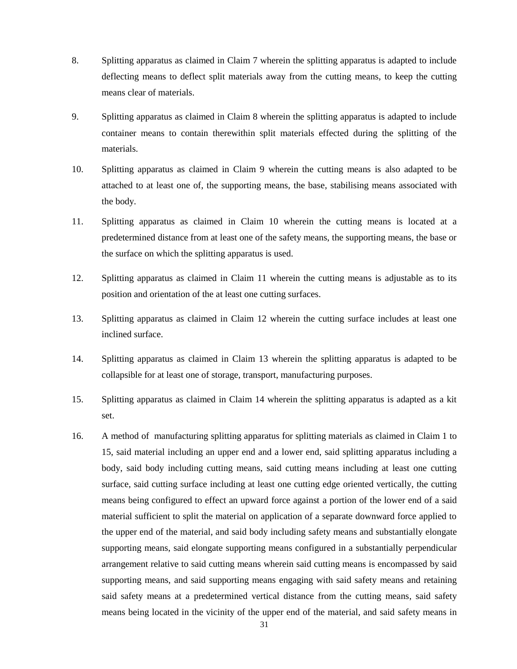- 8. Splitting apparatus as claimed in Claim 7 wherein the splitting apparatus is adapted to include deflecting means to deflect split materials away from the cutting means, to keep the cutting means clear of materials.
- 9. Splitting apparatus as claimed in Claim 8 wherein the splitting apparatus is adapted to include container means to contain therewithin split materials effected during the splitting of the materials.
- 10. Splitting apparatus as claimed in Claim 9 wherein the cutting means is also adapted to be attached to at least one of, the supporting means, the base, stabilising means associated with the body.
- 11. Splitting apparatus as claimed in Claim 10 wherein the cutting means is located at a predetermined distance from at least one of the safety means, the supporting means, the base or the surface on which the splitting apparatus is used.
- 12. Splitting apparatus as claimed in Claim 11 wherein the cutting means is adjustable as to its position and orientation of the at least one cutting surfaces.
- 13. Splitting apparatus as claimed in Claim 12 wherein the cutting surface includes at least one inclined surface.
- 14. Splitting apparatus as claimed in Claim 13 wherein the splitting apparatus is adapted to be collapsible for at least one of storage, transport, manufacturing purposes.
- 15. Splitting apparatus as claimed in Claim 14 wherein the splitting apparatus is adapted as a kit set.
- 16. A method of manufacturing splitting apparatus for splitting materials as claimed in Claim 1 to 15, said material including an upper end and a lower end, said splitting apparatus including a body, said body including cutting means, said cutting means including at least one cutting surface, said cutting surface including at least one cutting edge oriented vertically, the cutting means being configured to effect an upward force against a portion of the lower end of a said material sufficient to split the material on application of a separate downward force applied to the upper end of the material, and said body including safety means and substantially elongate supporting means, said elongate supporting means configured in a substantially perpendicular arrangement relative to said cutting means wherein said cutting means is encompassed by said supporting means, and said supporting means engaging with said safety means and retaining said safety means at a predetermined vertical distance from the cutting means, said safety means being located in the vicinity of the upper end of the material, and said safety means in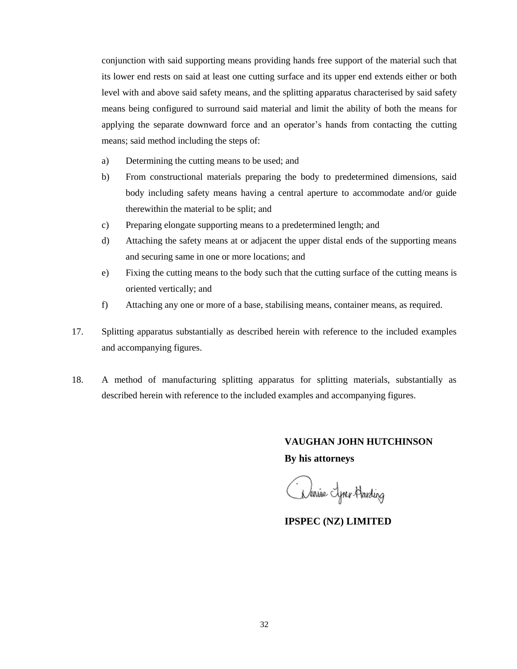conjunction with said supporting means providing hands free support of the material such that its lower end rests on said at least one cutting surface and its upper end extends either or both level with and above said safety means, and the splitting apparatus characterised by said safety means being configured to surround said material and limit the ability of both the means for applying the separate downward force and an operator's hands from contacting the cutting means; said method including the steps of:

- a) Determining the cutting means to be used; and
- b) From constructional materials preparing the body to predetermined dimensions, said body including safety means having a central aperture to accommodate and/or guide therewithin the material to be split; and
- c) Preparing elongate supporting means to a predetermined length; and
- d) Attaching the safety means at or adjacent the upper distal ends of the supporting means and securing same in one or more locations; and
- e) Fixing the cutting means to the body such that the cutting surface of the cutting means is oriented vertically; and
- f) Attaching any one or more of a base, stabilising means, container means, as required.
- 17. Splitting apparatus substantially as described herein with reference to the included examples and accompanying figures.
- 18. A method of manufacturing splitting apparatus for splitting materials, substantially as described herein with reference to the included examples and accompanying figures.

### **VAUGHAN JOHN HUTCHINSON**

**By his attorneys**

Renise Your Harding

## **IPSPEC (NZ) LIMITED**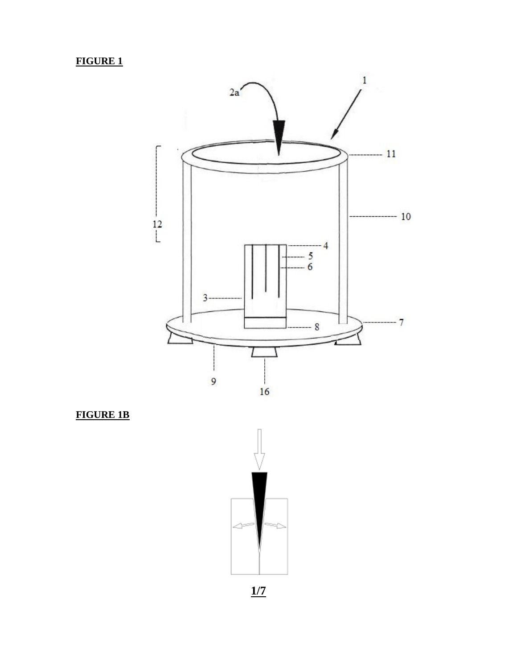

**FIGURE 1B**

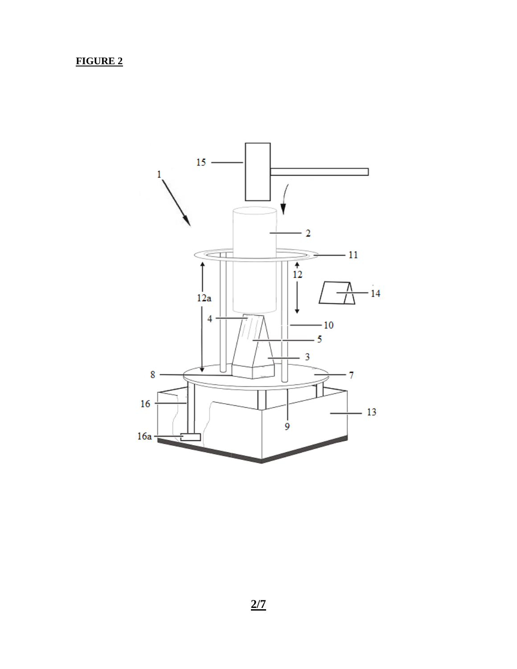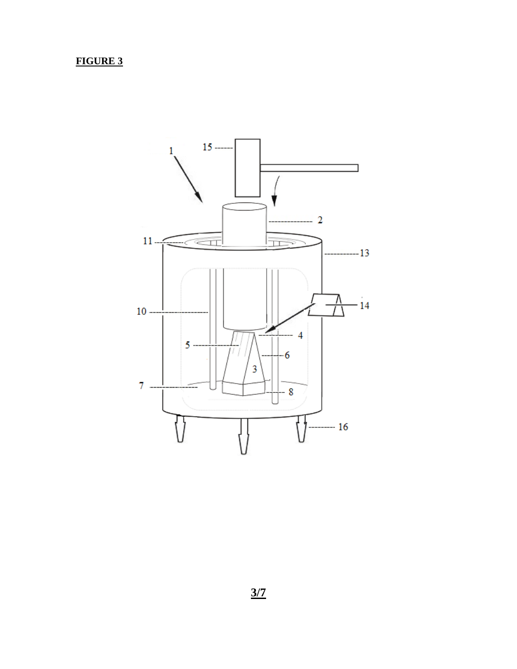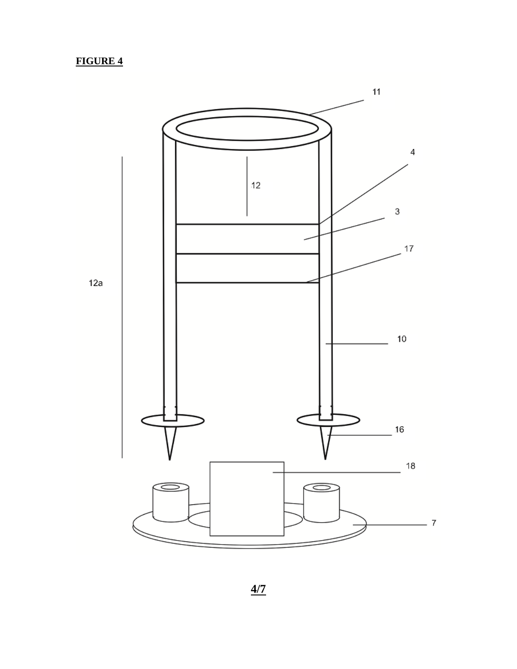

**4/7**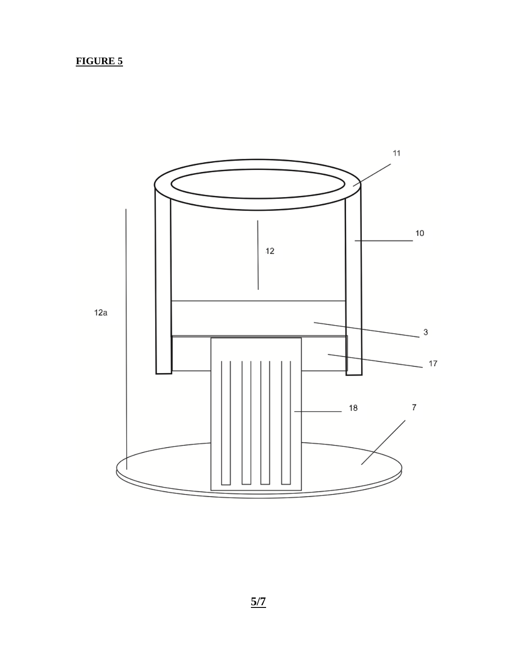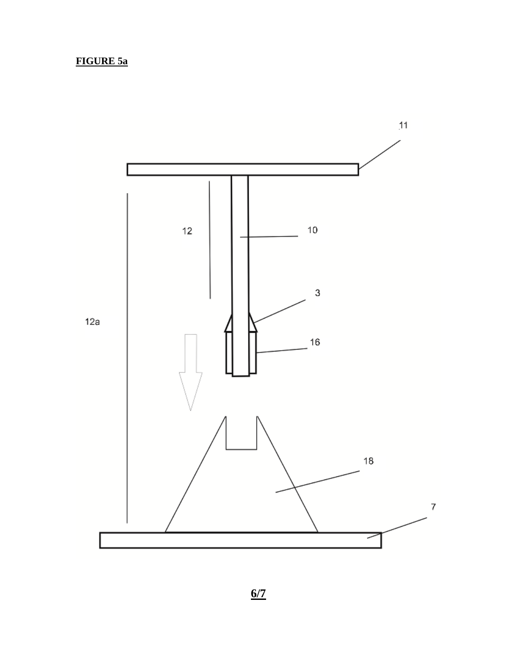# **FIGURE 5a**



**6/7**